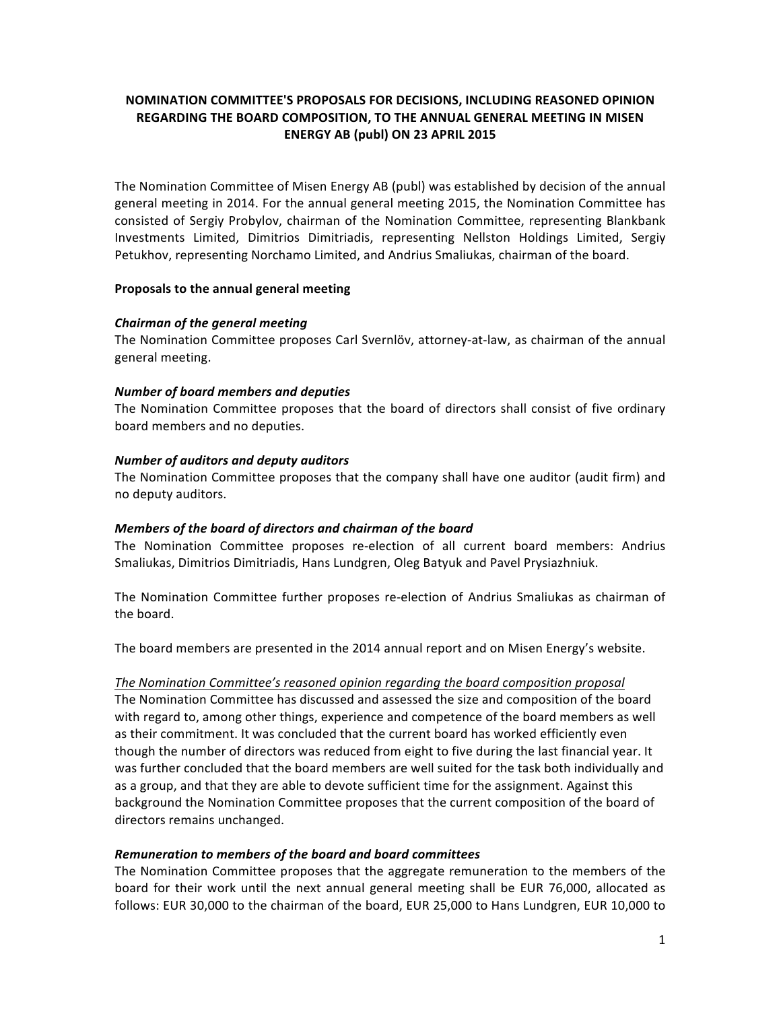# **NOMINATION COMMITTEE'S PROPOSALS FOR DECISIONS, INCLUDING REASONED OPINION REGARDING THE BOARD COMPOSITION, TO THE ANNUAL GENERAL MEETING IN MISEN ENERGY AB (publ) ON 23 APRIL 2015**

The Nomination Committee of Misen Energy AB (publ) was established by decision of the annual general meeting in 2014. For the annual general meeting 2015, the Nomination Committee has consisted of Sergiy Probylov, chairman of the Nomination Committee, representing Blankbank Investments Limited, Dimitrios Dimitriadis, representing Nellston Holdings Limited, Sergiy Petukhov, representing Norchamo Limited, and Andrius Smaliukas, chairman of the board.

### **Proposals to the annual general meeting**

### *Chairman of the general meeting*

The Nomination Committee proposes Carl Svernlöv, attorney-at-law, as chairman of the annual general meeting. 

### **Number of board members and deputies**

The Nomination Committee proposes that the board of directors shall consist of five ordinary board members and no deputies.

### *Number of auditors and deputy auditors*

The Nomination Committee proposes that the company shall have one auditor (audit firm) and no deputy auditors.

#### *Members of the board of directors and chairman of the board*

The Nomination Committee proposes re-election of all current board members: Andrius Smaliukas, Dimitrios Dimitriadis, Hans Lundgren, Oleg Batyuk and Pavel Prysiazhniuk.

The Nomination Committee further proposes re-election of Andrius Smaliukas as chairman of the board.

The board members are presented in the 2014 annual report and on Misen Energy's website.

#### The Nomination Committee's reasoned opinion regarding the board composition proposal

The Nomination Committee has discussed and assessed the size and composition of the board with regard to, among other things, experience and competence of the board members as well as their commitment. It was concluded that the current board has worked efficiently even though the number of directors was reduced from eight to five during the last financial year. It was further concluded that the board members are well suited for the task both individually and as a group, and that they are able to devote sufficient time for the assignment. Against this background the Nomination Committee proposes that the current composition of the board of directors remains unchanged.

#### *Remuneration to members of the board and board committees*

The Nomination Committee proposes that the aggregate remuneration to the members of the board for their work until the next annual general meeting shall be EUR 76,000, allocated as follows: EUR 30,000 to the chairman of the board, EUR 25,000 to Hans Lundgren, EUR 10,000 to